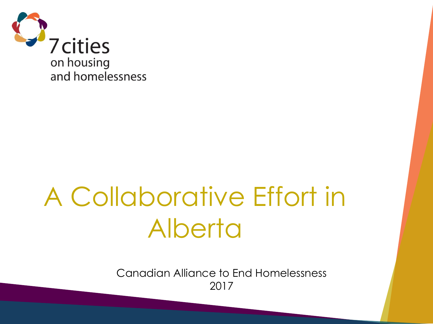

# A Collaborative Effort in Alberta

Canadian Alliance to End Homelessness 2017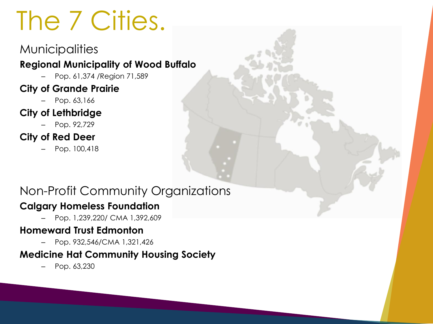# The 7 Cities.

#### **Municipalities**

#### **Regional Municipality of Wood Buffalo**

– Pop. 61,374 /Region 71,589

#### **City of Grande Prairie**

– Pop. 63,166

#### **City of Lethbridge**

– Pop. 92,729

#### **City of Red Deer**

– Pop. 100,418

#### Non-Profit Community Organizations

#### **Calgary Homeless Foundation**

– Pop. 1,239,220/ CMA 1,392,609

#### **Homeward Trust Edmonton**

– Pop. 932,546/CMA 1,321,426

#### **Medicine Hat Community Housing Society**

– Pop. 63,230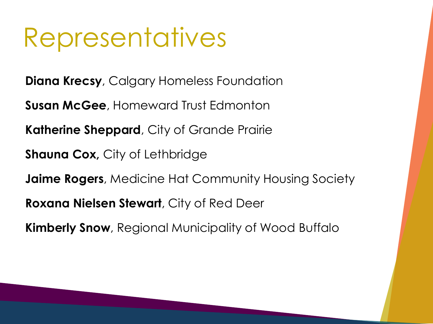### Representatives

**Diana Krecsy**, Calgary Homeless Foundation

**Susan McGee**, Homeward Trust Edmonton

**Katherine Sheppard**, City of Grande Prairie

**Shauna Cox,** City of Lethbridge

**Jaime Rogers**, Medicine Hat Community Housing Society

**Roxana Nielsen Stewart**, City of Red Deer

**Kimberly Snow**, Regional Municipality of Wood Buffalo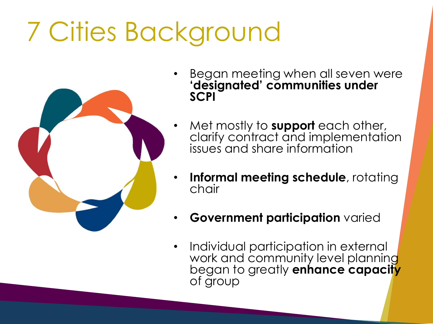# 7 Cities Background



- Began meeting when all seven were **'designated' communities under SCPI**
- Met mostly to **support** each other, clarify contract and implementation issues and share information
- **Informal meeting schedule**, rotating chair
- **Government participation** varied
- Individual participation in external work and community level planning began to greatly **enhance capacity**  of group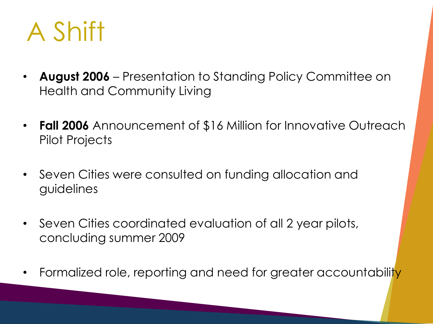

- **August 2006**  Presentation to Standing Policy Committee on Health and Community Living
- **Fall 2006** Announcement of \$16 Million for Innovative Outreach Pilot Projects
- Seven Cities were consulted on funding allocation and guidelines
- Seven Cities coordinated evaluation of all 2 year pilots, concluding summer 2009
- Formalized role, reporting and need for greater accountability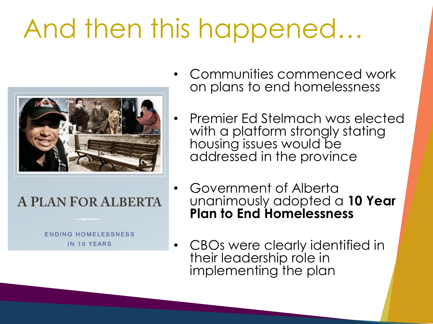# And then this happened…



#### **A PLAN FOR ALBERTA**

**ENDING HOMELESSNESS** IN 10 YEARS

- Communities commenced work on plans to end homelessness
- Premier Ed Stelmach was elected with a platform strongly stating housing issues would be addressed in the province
- Government of Alberta unanimously adopted a **10 Year Plan to End Homelessness**
- CBOs were clearly identified in their leadership role in implementing the plan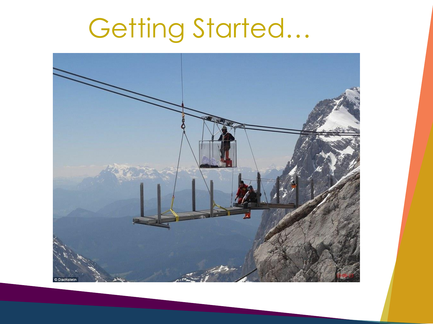# Getting Started…

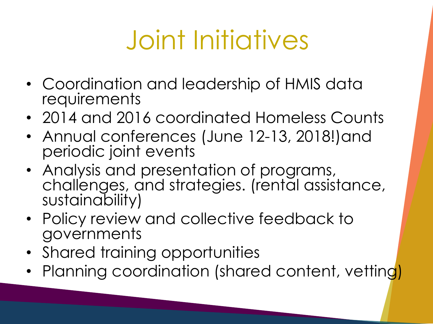# Joint Initiatives

- Coordination and leadership of HMIS data **requirements**
- 2014 and 2016 coordinated Homeless Counts
- Annual conferences (June 12-13, 2018!)and periodic joint events
- Analysis and presentation of programs, challenges, and strategies. (rental assistance, sustainability)
- Policy review and collective feedback to governments
- Shared training opportunities
- Planning coordination (shared content, vetting)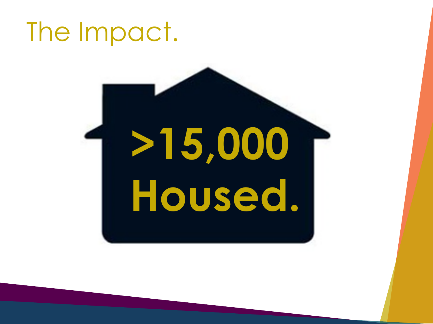## The Impact.

# **>15,000 Housed.**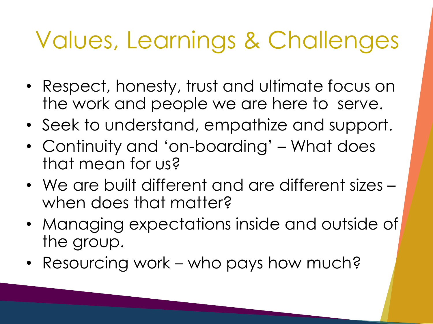## Values, Learnings & Challenges

- Respect, honesty, trust and ultimate focus on the work and people we are here to serve.
- Seek to understand, empathize and support.
- Continuity and 'on-boarding' What does that mean for us?
- We are built different and are different sizes when does that matter?
- Managing expectations inside and outside of the group.
- Resourcing work who pays how much?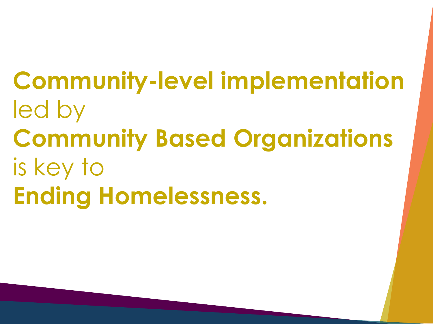**Community-level implementation** led by **Community Based Organizations** is key to **Ending Homelessness.**